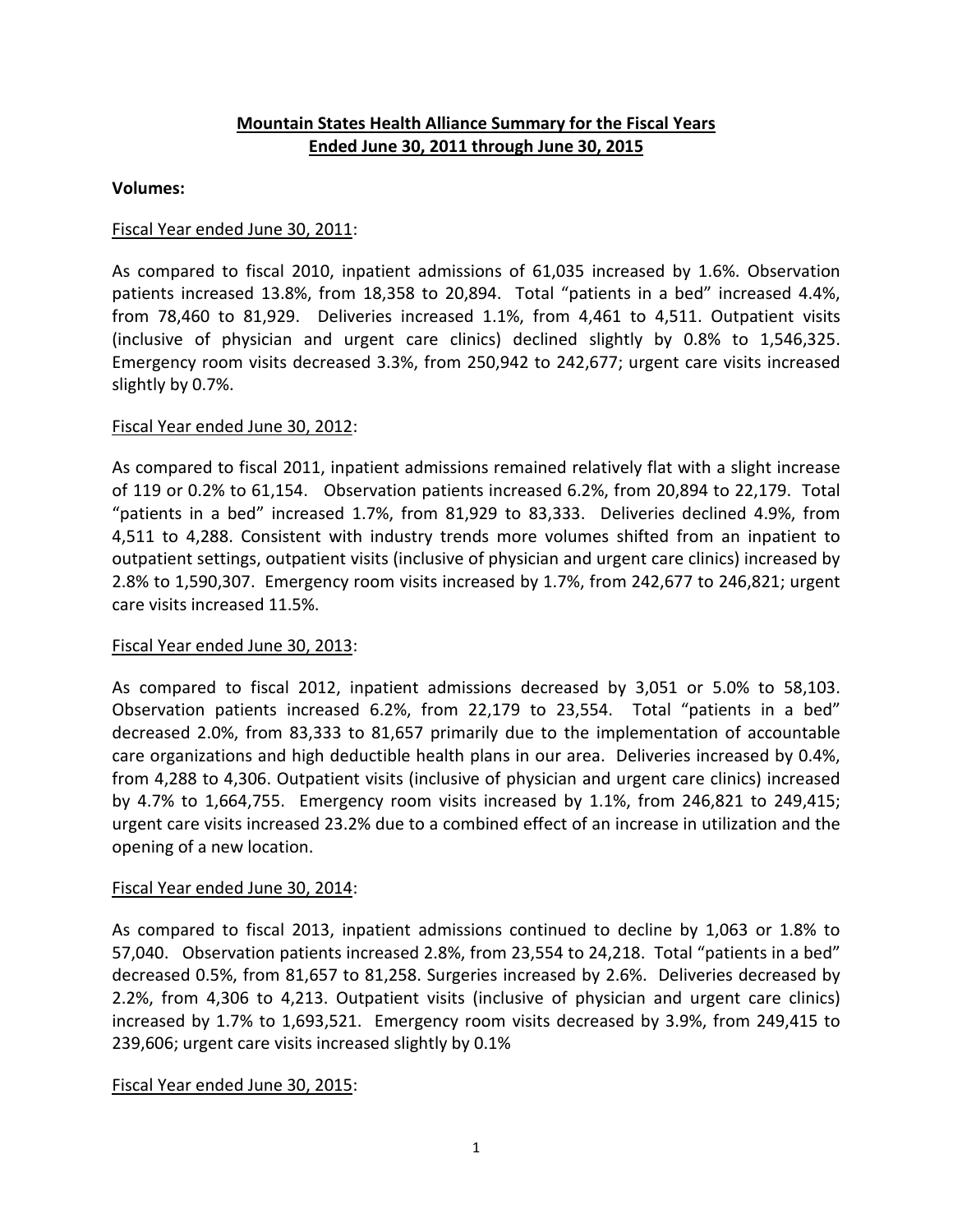# **Mountain States Health Alliance Summary for the Fiscal Years Ended June 30, 2011 through June 30, 2015**

### **Volumes:**

## Fiscal Year ended June 30, 2011:

As compared to fiscal 2010, inpatient admissions of 61,035 increased by 1.6%. Observation patients increased 13.8%, from 18,358 to 20,894. Total "patients in a bed" increased 4.4%, from 78,460 to 81,929. Deliveries increased 1.1%, from 4,461 to 4,511. Outpatient visits (inclusive of physician and urgent care clinics) declined slightly by 0.8% to 1,546,325. Emergency room visits decreased 3.3%, from 250,942 to 242,677; urgent care visits increased slightly by 0.7%.

### Fiscal Year ended June 30, 2012:

As compared to fiscal 2011, inpatient admissions remained relatively flat with a slight increase of 119 or 0.2% to 61,154. Observation patients increased 6.2%, from 20,894 to 22,179. Total "patients in a bed" increased 1.7%, from 81,929 to 83,333. Deliveries declined 4.9%, from 4,511 to 4,288. Consistent with industry trends more volumes shifted from an inpatient to outpatient settings, outpatient visits (inclusive of physician and urgent care clinics) increased by 2.8% to 1,590,307. Emergency room visits increased by 1.7%, from 242,677 to 246,821; urgent care visits increased 11.5%.

### Fiscal Year ended June 30, 2013:

As compared to fiscal 2012, inpatient admissions decreased by 3,051 or 5.0% to 58,103. Observation patients increased 6.2%, from 22,179 to 23,554. Total "patients in a bed" decreased 2.0%, from 83,333 to 81,657 primarily due to the implementation of accountable care organizations and high deductible health plans in our area. Deliveries increased by 0.4%, from 4,288 to 4,306. Outpatient visits (inclusive of physician and urgent care clinics) increased by 4.7% to 1,664,755. Emergency room visits increased by 1.1%, from 246,821 to 249,415; urgent care visits increased 23.2% due to a combined effect of an increase in utilization and the opening of a new location.

### Fiscal Year ended June 30, 2014:

As compared to fiscal 2013, inpatient admissions continued to decline by 1,063 or 1.8% to 57,040. Observation patients increased 2.8%, from 23,554 to 24,218. Total "patients in a bed" decreased 0.5%, from 81,657 to 81,258. Surgeries increased by 2.6%. Deliveries decreased by 2.2%, from 4,306 to 4,213. Outpatient visits (inclusive of physician and urgent care clinics) increased by 1.7% to 1,693,521. Emergency room visits decreased by 3.9%, from 249,415 to 239,606; urgent care visits increased slightly by 0.1%

### Fiscal Year ended June 30, 2015: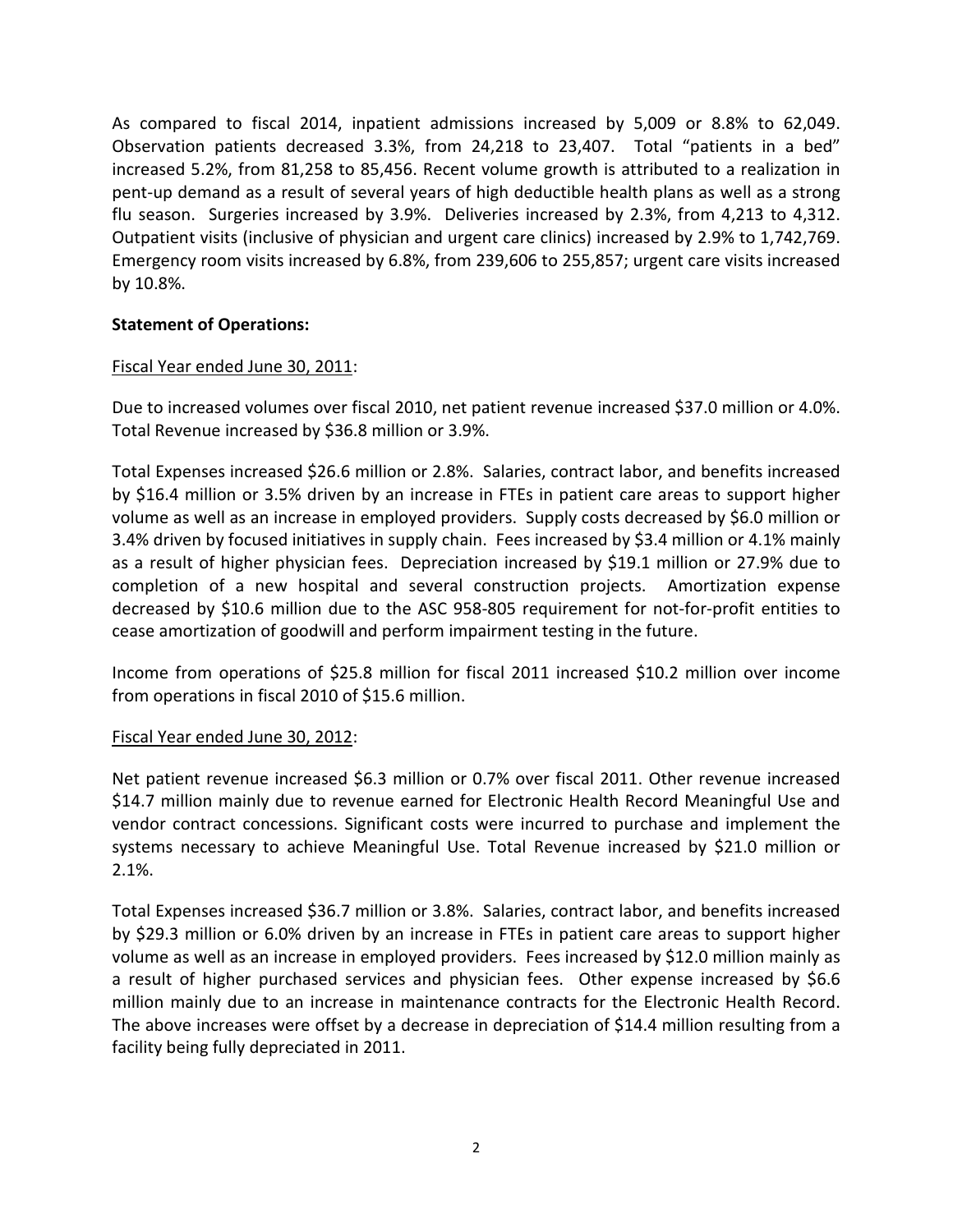As compared to fiscal 2014, inpatient admissions increased by 5,009 or 8.8% to 62,049. Observation patients decreased 3.3%, from 24,218 to 23,407. Total "patients in a bed" increased 5.2%, from 81,258 to 85,456. Recent volume growth is attributed to a realization in pent-up demand as a result of several years of high deductible health plans as well as a strong flu season. Surgeries increased by 3.9%. Deliveries increased by 2.3%, from 4,213 to 4,312. Outpatient visits (inclusive of physician and urgent care clinics) increased by 2.9% to 1,742,769. Emergency room visits increased by 6.8%, from 239,606 to 255,857; urgent care visits increased by 10.8%.

## **Statement of Operations:**

### Fiscal Year ended June 30, 2011:

Due to increased volumes over fiscal 2010, net patient revenue increased \$37.0 million or 4.0%. Total Revenue increased by \$36.8 million or 3.9%.

Total Expenses increased \$26.6 million or 2.8%. Salaries, contract labor, and benefits increased by \$16.4 million or 3.5% driven by an increase in FTEs in patient care areas to support higher volume as well as an increase in employed providers. Supply costs decreased by \$6.0 million or 3.4% driven by focused initiatives in supply chain. Fees increased by \$3.4 million or 4.1% mainly as a result of higher physician fees. Depreciation increased by \$19.1 million or 27.9% due to completion of a new hospital and several construction projects. Amortization expense decreased by \$10.6 million due to the ASC 958-805 requirement for not-for-profit entities to cease amortization of goodwill and perform impairment testing in the future.

Income from operations of \$25.8 million for fiscal 2011 increased \$10.2 million over income from operations in fiscal 2010 of \$15.6 million.

### Fiscal Year ended June 30, 2012:

Net patient revenue increased \$6.3 million or 0.7% over fiscal 2011. Other revenue increased \$14.7 million mainly due to revenue earned for Electronic Health Record Meaningful Use and vendor contract concessions. Significant costs were incurred to purchase and implement the systems necessary to achieve Meaningful Use. Total Revenue increased by \$21.0 million or 2.1%.

Total Expenses increased \$36.7 million or 3.8%. Salaries, contract labor, and benefits increased by \$29.3 million or 6.0% driven by an increase in FTEs in patient care areas to support higher volume as well as an increase in employed providers. Fees increased by \$12.0 million mainly as a result of higher purchased services and physician fees. Other expense increased by \$6.6 million mainly due to an increase in maintenance contracts for the Electronic Health Record. The above increases were offset by a decrease in depreciation of \$14.4 million resulting from a facility being fully depreciated in 2011.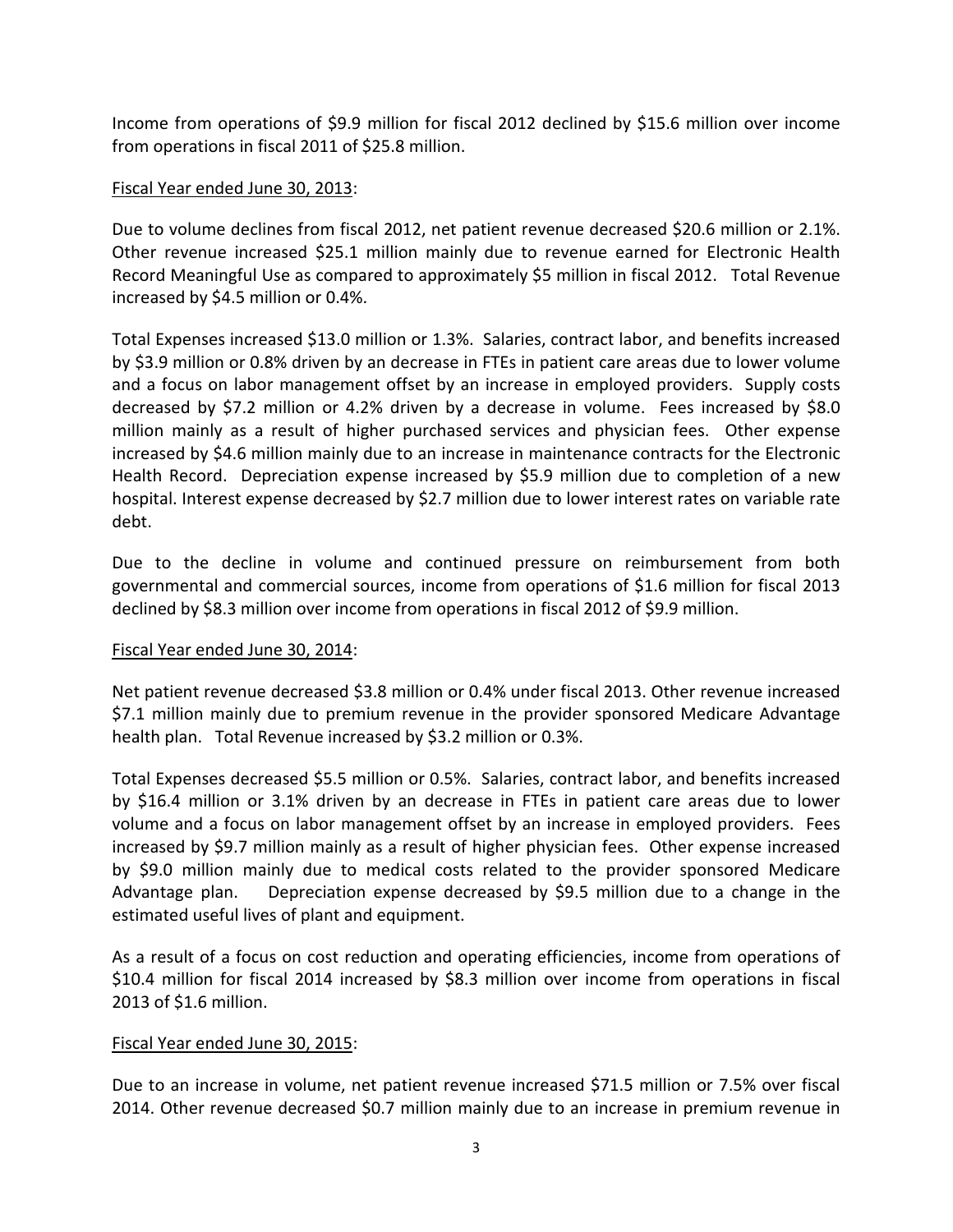Income from operations of \$9.9 million for fiscal 2012 declined by \$15.6 million over income from operations in fiscal 2011 of \$25.8 million.

## Fiscal Year ended June 30, 2013:

Due to volume declines from fiscal 2012, net patient revenue decreased \$20.6 million or 2.1%. Other revenue increased \$25.1 million mainly due to revenue earned for Electronic Health Record Meaningful Use as compared to approximately \$5 million in fiscal 2012. Total Revenue increased by \$4.5 million or 0.4%.

Total Expenses increased \$13.0 million or 1.3%. Salaries, contract labor, and benefits increased by \$3.9 million or 0.8% driven by an decrease in FTEs in patient care areas due to lower volume and a focus on labor management offset by an increase in employed providers. Supply costs decreased by \$7.2 million or 4.2% driven by a decrease in volume. Fees increased by \$8.0 million mainly as a result of higher purchased services and physician fees. Other expense increased by \$4.6 million mainly due to an increase in maintenance contracts for the Electronic Health Record. Depreciation expense increased by \$5.9 million due to completion of a new hospital. Interest expense decreased by \$2.7 million due to lower interest rates on variable rate debt.

Due to the decline in volume and continued pressure on reimbursement from both governmental and commercial sources, income from operations of \$1.6 million for fiscal 2013 declined by \$8.3 million over income from operations in fiscal 2012 of \$9.9 million.

### Fiscal Year ended June 30, 2014:

Net patient revenue decreased \$3.8 million or 0.4% under fiscal 2013. Other revenue increased \$7.1 million mainly due to premium revenue in the provider sponsored Medicare Advantage health plan. Total Revenue increased by \$3.2 million or 0.3%.

Total Expenses decreased \$5.5 million or 0.5%. Salaries, contract labor, and benefits increased by \$16.4 million or 3.1% driven by an decrease in FTEs in patient care areas due to lower volume and a focus on labor management offset by an increase in employed providers. Fees increased by \$9.7 million mainly as a result of higher physician fees. Other expense increased by \$9.0 million mainly due to medical costs related to the provider sponsored Medicare Advantage plan. Depreciation expense decreased by \$9.5 million due to a change in the estimated useful lives of plant and equipment.

As a result of a focus on cost reduction and operating efficiencies, income from operations of \$10.4 million for fiscal 2014 increased by \$8.3 million over income from operations in fiscal 2013 of \$1.6 million.

### Fiscal Year ended June 30, 2015:

Due to an increase in volume, net patient revenue increased \$71.5 million or 7.5% over fiscal 2014. Other revenue decreased \$0.7 million mainly due to an increase in premium revenue in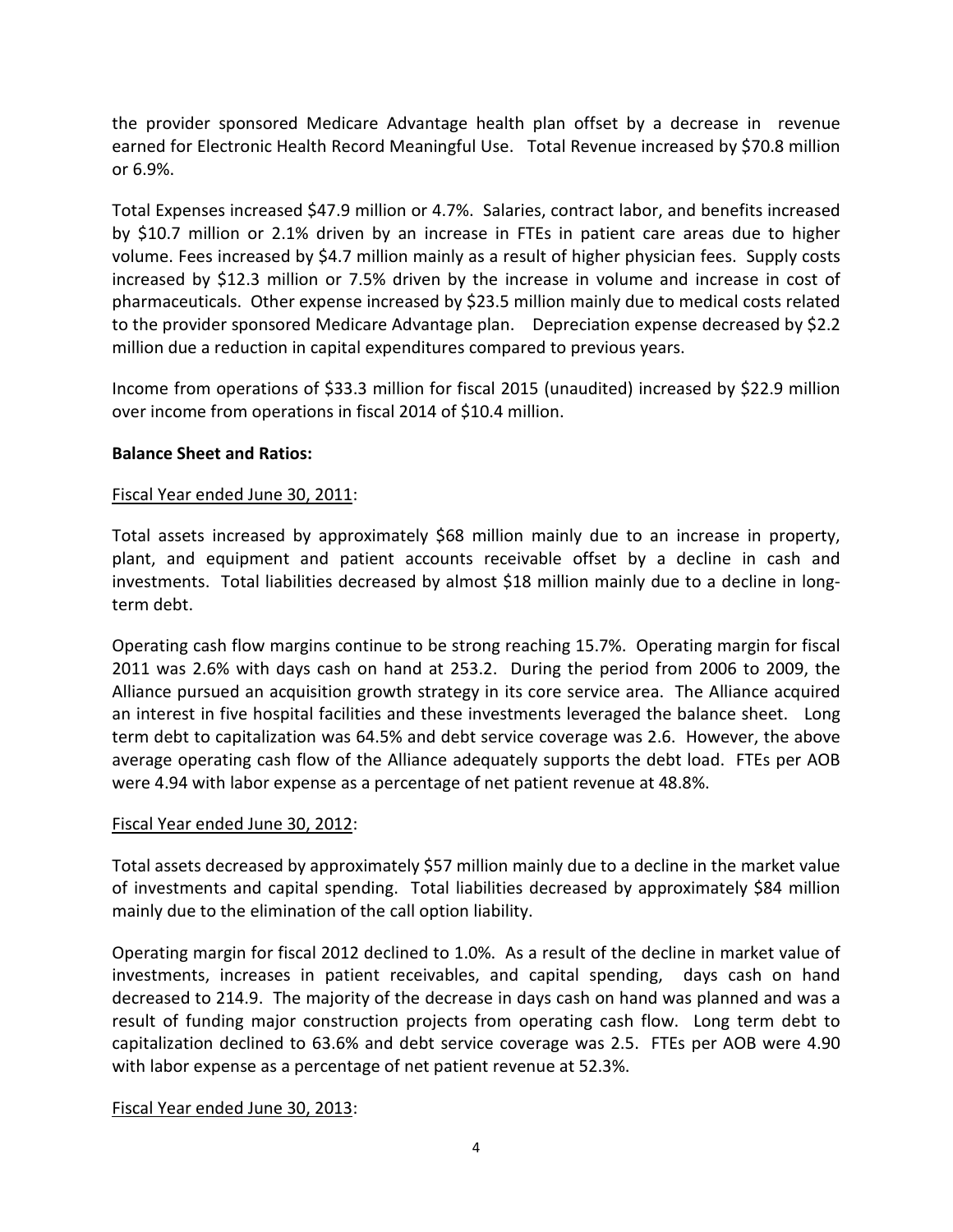the provider sponsored Medicare Advantage health plan offset by a decrease in revenue earned for Electronic Health Record Meaningful Use. Total Revenue increased by \$70.8 million or 6.9%.

Total Expenses increased \$47.9 million or 4.7%. Salaries, contract labor, and benefits increased by \$10.7 million or 2.1% driven by an increase in FTEs in patient care areas due to higher volume. Fees increased by \$4.7 million mainly as a result of higher physician fees. Supply costs increased by \$12.3 million or 7.5% driven by the increase in volume and increase in cost of pharmaceuticals. Other expense increased by \$23.5 million mainly due to medical costs related to the provider sponsored Medicare Advantage plan. Depreciation expense decreased by \$2.2 million due a reduction in capital expenditures compared to previous years.

Income from operations of \$33.3 million for fiscal 2015 (unaudited) increased by \$22.9 million over income from operations in fiscal 2014 of \$10.4 million.

# **Balance Sheet and Ratios:**

## Fiscal Year ended June 30, 2011:

Total assets increased by approximately \$68 million mainly due to an increase in property, plant, and equipment and patient accounts receivable offset by a decline in cash and investments. Total liabilities decreased by almost \$18 million mainly due to a decline in longterm debt.

Operating cash flow margins continue to be strong reaching 15.7%. Operating margin for fiscal 2011 was 2.6% with days cash on hand at 253.2. During the period from 2006 to 2009, the Alliance pursued an acquisition growth strategy in its core service area. The Alliance acquired an interest in five hospital facilities and these investments leveraged the balance sheet. Long term debt to capitalization was 64.5% and debt service coverage was 2.6. However, the above average operating cash flow of the Alliance adequately supports the debt load. FTEs per AOB were 4.94 with labor expense as a percentage of net patient revenue at 48.8%.

### Fiscal Year ended June 30, 2012:

Total assets decreased by approximately \$57 million mainly due to a decline in the market value of investments and capital spending. Total liabilities decreased by approximately \$84 million mainly due to the elimination of the call option liability.

Operating margin for fiscal 2012 declined to 1.0%. As a result of the decline in market value of investments, increases in patient receivables, and capital spending, days cash on hand decreased to 214.9. The majority of the decrease in days cash on hand was planned and was a result of funding major construction projects from operating cash flow. Long term debt to capitalization declined to 63.6% and debt service coverage was 2.5. FTEs per AOB were 4.90 with labor expense as a percentage of net patient revenue at 52.3%.

### Fiscal Year ended June 30, 2013: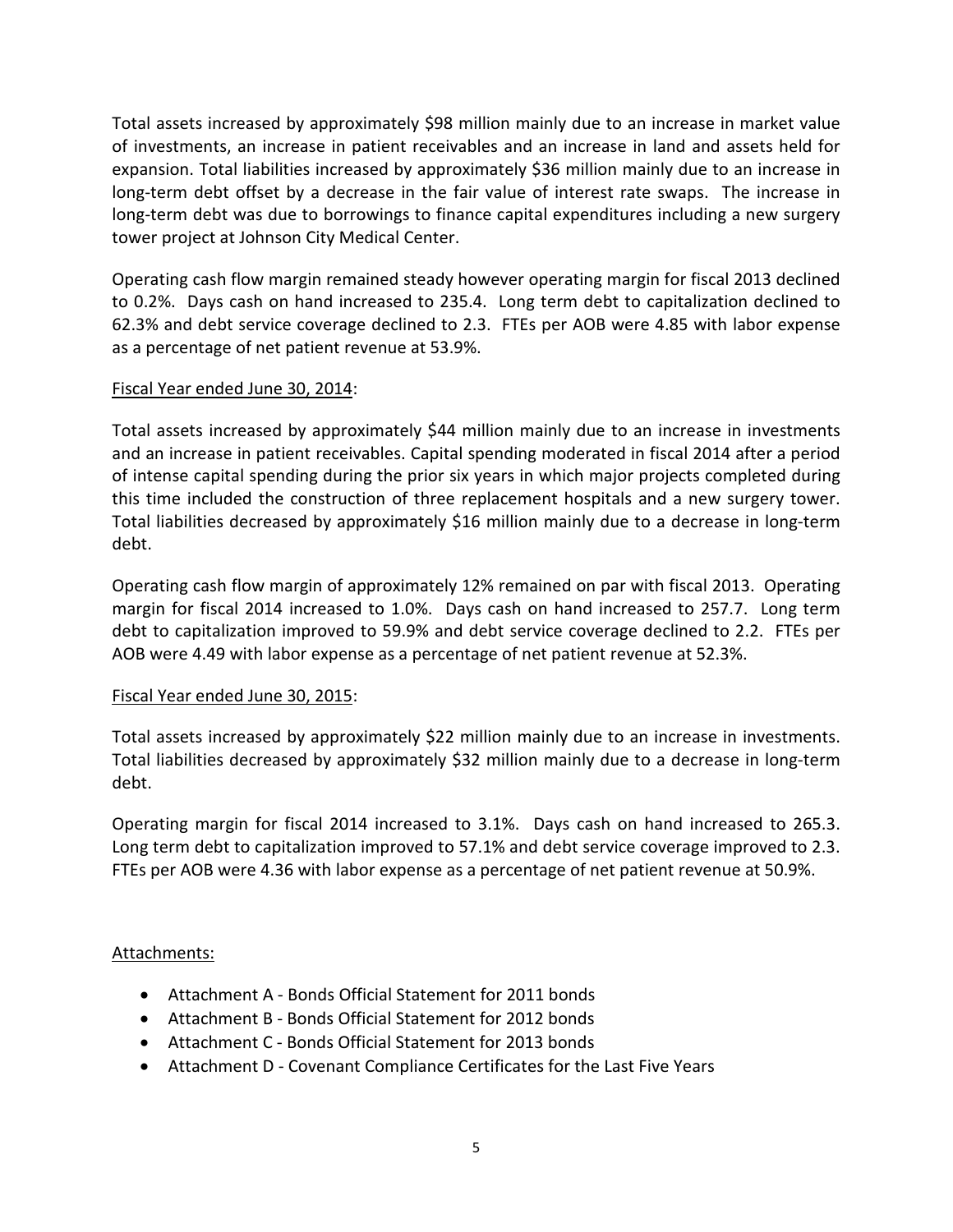Total assets increased by approximately \$98 million mainly due to an increase in market value of investments, an increase in patient receivables and an increase in land and assets held for expansion. Total liabilities increased by approximately \$36 million mainly due to an increase in long-term debt offset by a decrease in the fair value of interest rate swaps. The increase in long-term debt was due to borrowings to finance capital expenditures including a new surgery tower project at Johnson City Medical Center.

Operating cash flow margin remained steady however operating margin for fiscal 2013 declined to 0.2%. Days cash on hand increased to 235.4. Long term debt to capitalization declined to 62.3% and debt service coverage declined to 2.3. FTEs per AOB were 4.85 with labor expense as a percentage of net patient revenue at 53.9%.

## Fiscal Year ended June 30, 2014:

Total assets increased by approximately \$44 million mainly due to an increase in investments and an increase in patient receivables. Capital spending moderated in fiscal 2014 after a period of intense capital spending during the prior six years in which major projects completed during this time included the construction of three replacement hospitals and a new surgery tower. Total liabilities decreased by approximately \$16 million mainly due to a decrease in long-term debt.

Operating cash flow margin of approximately 12% remained on par with fiscal 2013. Operating margin for fiscal 2014 increased to 1.0%. Days cash on hand increased to 257.7. Long term debt to capitalization improved to 59.9% and debt service coverage declined to 2.2. FTEs per AOB were 4.49 with labor expense as a percentage of net patient revenue at 52.3%.

### Fiscal Year ended June 30, 2015:

Total assets increased by approximately \$22 million mainly due to an increase in investments. Total liabilities decreased by approximately \$32 million mainly due to a decrease in long-term debt.

Operating margin for fiscal 2014 increased to 3.1%. Days cash on hand increased to 265.3. Long term debt to capitalization improved to 57.1% and debt service coverage improved to 2.3. FTEs per AOB were 4.36 with labor expense as a percentage of net patient revenue at 50.9%.

# Attachments:

- Attachment A Bonds Official Statement for 2011 bonds
- Attachment B Bonds Official Statement for 2012 bonds
- Attachment C Bonds Official Statement for 2013 bonds
- Attachment D Covenant Compliance Certificates for the Last Five Years